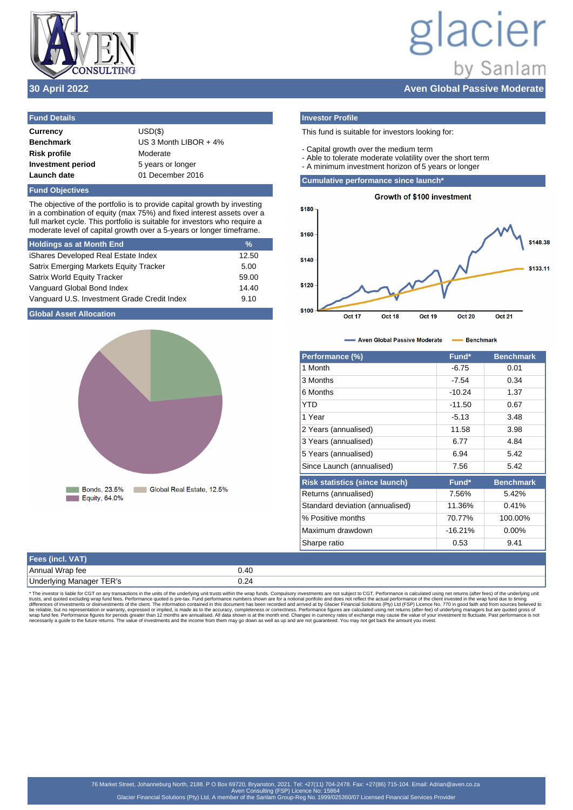

# lacier by Sanlam **30 April 2022 Aven Global Passive Moderate**

| <b>Fund Details</b>      |                         |
|--------------------------|-------------------------|
| <b>Currency</b>          | $USD(\$)$               |
| <b>Benchmark</b>         | US 3 Month LIBOR $+4\%$ |
| <b>Risk profile</b>      | Moderate                |
| <b>Investment period</b> | 5 years or longer       |
| Launch date              | 01 December 2016        |

## **Fund Objectives**

The objective of the portfolio is to provide capital growth by investing in a combination of equity (max 75%) and fixed interest assets over a full market cycle. This portfolio is suitable for investors who require a moderate level of capital growth over a 5-years or longer timeframe.

| <b>Holdings as at Month End</b>               | $\frac{9}{6}$ |
|-----------------------------------------------|---------------|
| iShares Developed Real Estate Index           | 12.50         |
| <b>Satrix Emerging Markets Equity Tracker</b> | 5.00          |
| <b>Satrix World Equity Tracker</b>            | 59.00         |
| Vanguard Global Bond Index                    | 14.40         |
| Vanguard U.S. Investment Grade Credit Index   | 9.10          |

# **Global Asset Allocation**



# **Investor Profile**

- This fund is suitable for investors looking for:
- Capital growth over the medium term
- Able to tolerate moderate volatility over the short term
- A minimum investment horizon of 5 years or longer

# **Cumulative performance since launch\***



- Aven Global Passive Moderate - Benchmark

| Performance (%)                       | Fund*     | <b>Benchmark</b> |
|---------------------------------------|-----------|------------------|
| 1 Month                               | $-6.75$   | 0.01             |
| 3 Months                              | $-7.54$   | 0.34             |
| 6 Months                              | $-10.24$  | 1.37             |
| YTD                                   | $-11.50$  | 0.67             |
| 1 Year                                | $-5.13$   | 3.48             |
| 2 Years (annualised)                  | 11.58     | 3.98             |
| 3 Years (annualised)                  | 6.77      | 4.84             |
| 5 Years (annualised)                  | 6.94      | 5.42             |
| Since Launch (annualised)             | 7.56      | 5.42             |
| <b>Risk statistics (since launch)</b> | Fund*     | <b>Benchmark</b> |
| Returns (annualised)                  | 7.56%     | 5.42%            |
| Standard deviation (annualised)       | 11.36%    | 0.41%            |
| % Positive months                     | 70.77%    | 100.00%          |
| Maximum drawdown                      | $-16.21%$ | $0.00\%$         |
| Sharpe ratio                          | 0.53      | 9.41             |

| Fees (incl. VAT)         |      |
|--------------------------|------|
| 'Annual Wrap fee         | ).40 |
| Underlying Manager TER's |      |

\* The investor is liable for CGT on any transactions in the units of the underlying unit trusts within the wrap funds. Compulsory investments are not subject to CGT. Performance is calculated using net returns (after fees)